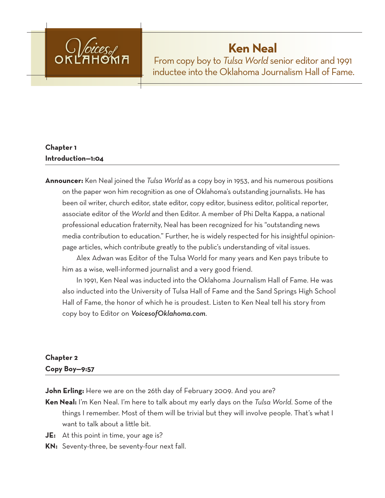

# **Ken Neal**

From copy boy to *Tulsa World* senior editor and 1991 inductee into the Oklahoma Journalism Hall of Fame.

# **Chapter 1 Introduction—1:04**

**Announcer:** Ken Neal joined the *Tulsa World* as a copy boy in 1953, and his numerous positions on the paper won him recognition as one of Oklahoma's outstanding journalists. He has been oil writer, church editor, state editor, copy editor, business editor, political reporter, associate editor of the *World* and then Editor. A member of Phi Delta Kappa, a national professional education fraternity, Neal has been recognized for his "outstanding news media contribution to education." Further, he is widely respected for his insightful opinionpage articles, which contribute greatly to the public's understanding of vital issues.

Alex Adwan was Editor of the Tulsa World for many years and Ken pays tribute to him as a wise, well-informed journalist and a very good friend.

In 1991, Ken Neal was inducted into the Oklahoma Journalism Hall of Fame. He was also inducted into the University of Tulsa Hall of Fame and the Sand Springs High School Hall of Fame, the honor of which he is proudest. Listen to Ken Neal tell his story from copy boy to Editor on *VoicesofOklahoma.com*.

# **Chapter 2 Copy Boy—9:57**

**John Erling:** Here we are on the 26th day of February 2009. And you are?

- **Ken Neal:** I'm Ken Neal. I'm here to talk about my early days on the *Tulsa World*. Some of the things I remember. Most of them will be trivial but they will involve people. That's what I want to talk about a little bit.
- **JE:** At this point in time, your age is?
- **KN:** Seventy-three, be seventy-four next fall.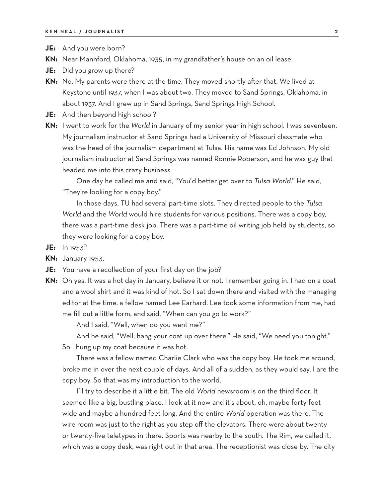- **JE:** And you were born?
- **KN:** Near Mannford, Oklahoma, 1935, in my grandfather's house on an oil lease.
- **JE:** Did you grow up there?
- **KN:** No. My parents were there at the time. They moved shortly after that. We lived at Keystone until 1937, when I was about two. They moved to Sand Springs, Oklahoma, in about 1937. And I grew up in Sand Springs, Sand Springs High School.
- **JE:** And then beyond high school?
- **KN:** I went to work for the *World* in January of my senior year in high school. I was seventeen. My journalism instructor at Sand Springs had a University of Missouri classmate who was the head of the journalism department at Tulsa. His name was Ed Johnson. My old journalism instructor at Sand Springs was named Ronnie Roberson, and he was guy that headed me into this crazy business.

One day he called me and said, "You'd better get over to *Tulsa World*." He said, "They're looking for a copy boy."

In those days, TU had several part-time slots. They directed people to the *Tulsa World* and the *World* would hire students for various positions. There was a copy boy, there was a part-time desk job. There was a part-time oil writing job held by students, so they were looking for a copy boy.

- **JE:** In 1953?
- **KN:** January 1953.
- **JE:** You have a recollection of your first day on the job?
- **KN:** Oh yes. It was a hot day in January, believe it or not. I remember going in. I had on a coat and a wool shirt and it was kind of hot. So I sat down there and visited with the managing editor at the time, a fellow named Lee Earhard. Lee took some information from me, had me fill out a little form, and said, "When can you go to work?"

And I said, "Well, when do you want me?"

And he said, "Well, hang your coat up over there." He said, "We need you tonight." So I hung up my coat because it was hot.

There was a fellow named Charlie Clark who was the copy boy. He took me around, broke me in over the next couple of days. And all of a sudden, as they would say, I are the copy boy. So that was my introduction to the world.

I'll try to describe it a little bit. The old *World* newsroom is on the third floor. It seemed like a big, bustling place. I look at it now and it's about, oh, maybe forty feet wide and maybe a hundred feet long. And the entire *World* operation was there. The wire room was just to the right as you step off the elevators. There were about twenty or twenty-five teletypes in there. Sports was nearby to the south. The Rim, we called it, which was a copy desk, was right out in that area. The receptionist was close by. The city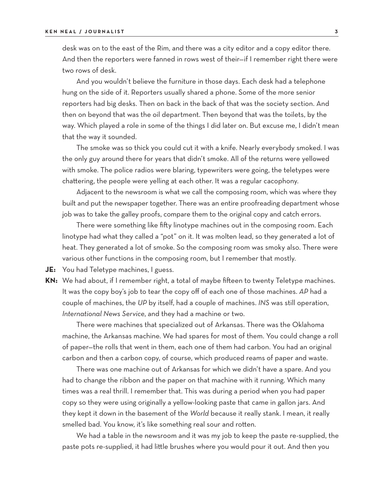desk was on to the east of the Rim, and there was a city editor and a copy editor there. And then the reporters were fanned in rows west of their—if I remember right there were two rows of desk.

And you wouldn't believe the furniture in those days. Each desk had a telephone hung on the side of it. Reporters usually shared a phone. Some of the more senior reporters had big desks. Then on back in the back of that was the society section. And then on beyond that was the oil department. Then beyond that was the toilets, by the way. Which played a role in some of the things I did later on. But excuse me, I didn't mean that the way it sounded.

The smoke was so thick you could cut it with a knife. Nearly everybody smoked. I was the only guy around there for years that didn't smoke. All of the returns were yellowed with smoke. The police radios were blaring, typewriters were going, the teletypes were chattering, the people were yelling at each other. It was a regular cacophony.

Adjacent to the newsroom is what we call the composing room, which was where they built and put the newspaper together. There was an entire proofreading department whose job was to take the galley proofs, compare them to the original copy and catch errors.

There were something like fifty linotype machines out in the composing room. Each linotype had what they called a "pot" on it. It was molten lead, so they generated a lot of heat. They generated a lot of smoke. So the composing room was smoky also. There were various other functions in the composing room, but I remember that mostly.

**JE:** You had Teletype machines, I guess.

**KN:** We had about, if I remember right, a total of maybe fifteen to twenty Teletype machines. It was the copy boy's job to tear the copy off of each one of those machines. *AP* had a couple of machines, the *UP* by itself, had a couple of machines. *INS* was still operation, *International News Service*, and they had a machine or two.

There were machines that specialized out of Arkansas. There was the Oklahoma machine, the Arkansas machine. We had spares for most of them. You could change a roll of paper—the rolls that went in them, each one of them had carbon. You had an original carbon and then a carbon copy, of course, which produced reams of paper and waste.

There was one machine out of Arkansas for which we didn't have a spare. And you had to change the ribbon and the paper on that machine with it running. Which many times was a real thrill. I remember that. This was during a period when you had paper copy so they were using originally a yellow-looking paste that came in gallon jars. And they kept it down in the basement of the *World* because it really stank. I mean, it really smelled bad. You know, it's like something real sour and rotten.

We had a table in the newsroom and it was my job to keep the paste re-supplied, the paste pots re-supplied, it had little brushes where you would pour it out. And then you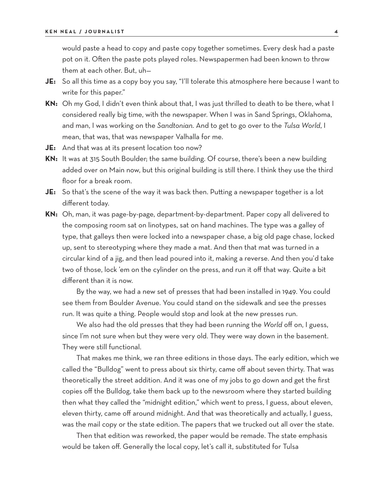would paste a head to copy and paste copy together sometimes. Every desk had a paste pot on it. Often the paste pots played roles. Newspapermen had been known to throw them at each other. But, uh—

- **JE:** So all this time as a copy boy you say, "I'll tolerate this atmosphere here because I want to write for this paper."
- **KN:** Oh my God, I didn't even think about that, I was just thrilled to death to be there, what I considered really big time, with the newspaper. When I was in Sand Springs, Oklahoma, and man, I was working on the *Sandtonian*. And to get to go over to the *Tulsa World*, I mean, that was, that was newspaper Valhalla for me.
- **JE:** And that was at its present location too now?
- **KN:** It was at 315 South Boulder; the same building. Of course, there's been a new building added over on Main now, but this original building is still there. I think they use the third floor for a break room.
- **JE:** So that's the scene of the way it was back then. Putting a newspaper together is a lot different today.
- **KN:** Oh, man, it was page-by-page, department-by-department. Paper copy all delivered to the composing room sat on linotypes, sat on hand machines. The type was a galley of type, that galleys then were locked into a newspaper chase, a big old page chase, locked up, sent to stereotyping where they made a mat. And then that mat was turned in a circular kind of a jig, and then lead poured into it, making a reverse. And then you'd take two of those, lock 'em on the cylinder on the press, and run it off that way. Quite a bit different than it is now.

By the way, we had a new set of presses that had been installed in 1949. You could see them from Boulder Avenue. You could stand on the sidewalk and see the presses run. It was quite a thing. People would stop and look at the new presses run.

We also had the old presses that they had been running the *World* off on, I guess, since I'm not sure when but they were very old. They were way down in the basement. They were still functional.

That makes me think, we ran three editions in those days. The early edition, which we called the "Bulldog" went to press about six thirty, came off about seven thirty. That was theoretically the street addition. And it was one of my jobs to go down and get the first copies off the Bulldog, take them back up to the newsroom where they started building then what they called the "midnight edition," which went to press, I guess, about eleven, eleven thirty, came off around midnight. And that was theoretically and actually, I guess, was the mail copy or the state edition. The papers that we trucked out all over the state.

Then that edition was reworked, the paper would be remade. The state emphasis would be taken off. Generally the local copy, let's call it, substituted for Tulsa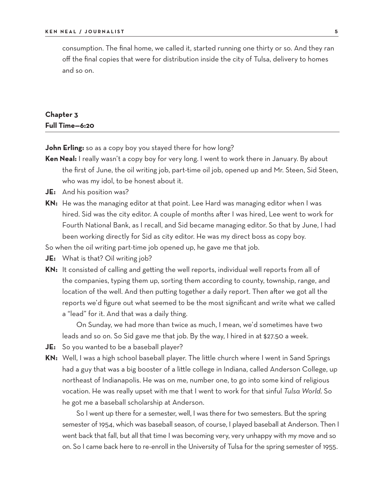consumption. The final home, we called it, started running one thirty or so. And they ran off the final copies that were for distribution inside the city of Tulsa, delivery to homes and so on.

## **Chapter 3 Full Time—6:20**

**John Erling:** so as a copy boy you stayed there for how long?

- Ken Neal: I really wasn't a copy boy for very long. I went to work there in January. By about the first of June, the oil writing job, part-time oil job, opened up and Mr. Steen, Sid Steen, who was my idol, to be honest about it.
- **JE:** And his position was?
- **KN:** He was the managing editor at that point. Lee Hard was managing editor when I was hired. Sid was the city editor. A couple of months after I was hired, Lee went to work for Fourth National Bank, as I recall, and Sid became managing editor. So that by June, I had been working directly for Sid as city editor. He was my direct boss as copy boy.

So when the oil writing part-time job opened up, he gave me that job.

- **JE:** What is that? Oil writing job?
- **KN:** It consisted of calling and getting the well reports, individual well reports from all of the companies, typing them up, sorting them according to county, township, range, and location of the well. And then putting together a daily report. Then after we got all the reports we'd figure out what seemed to be the most significant and write what we called a "lead" for it. And that was a daily thing.

On Sunday, we had more than twice as much, I mean, we'd sometimes have two leads and so on. So Sid gave me that job. By the way, I hired in at \$27.50 a week.

- **JE:** So you wanted to be a baseball player?
- **KN:** Well, I was a high school baseball player. The little church where I went in Sand Springs had a guy that was a big booster of a little college in Indiana, called Anderson College, up northeast of Indianapolis. He was on me, number one, to go into some kind of religious vocation. He was really upset with me that I went to work for that sinful *Tulsa World*. So he got me a baseball scholarship at Anderson.

So I went up there for a semester, well, I was there for two semesters. But the spring semester of 1954, which was baseball season, of course, I played baseball at Anderson. Then I went back that fall, but all that time I was becoming very, very unhappy with my move and so on. So I came back here to re-enroll in the University of Tulsa for the spring semester of 1955.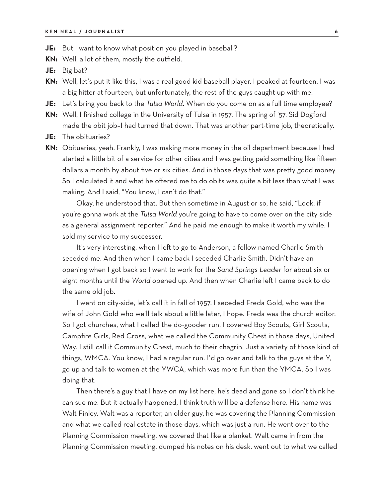- **JE:** But I want to know what position you played in baseball?
- **KN:** Well, a lot of them, mostly the outfield.
- **JE:** Big bat?
- **KN:** Well, let's put it like this, I was a real good kid baseball player. I peaked at fourteen. I was a big hitter at fourteen, but unfortunately, the rest of the guys caught up with me.
- **JE:** Let's bring you back to the *Tulsa World*. When do you come on as a full time employee?
- **KN:** Well, I finished college in the University of Tulsa in 1957. The spring of '57. Sid Dogford made the obit job–I had turned that down. That was another part-time job, theoretically.
- **JE:** The obituaries?
- **KN:** Obituaries, yeah. Frankly, I was making more money in the oil department because I had started a little bit of a service for other cities and I was getting paid something like fifteen dollars a month by about five or six cities. And in those days that was pretty good money. So I calculated it and what he offered me to do obits was quite a bit less than what I was making. And I said, "You know, I can't do that."

Okay, he understood that. But then sometime in August or so, he said, "Look, if you're gonna work at the *Tulsa World* you're going to have to come over on the city side as a general assignment reporter." And he paid me enough to make it worth my while. I sold my service to my successor.

It's very interesting, when I left to go to Anderson, a fellow named Charlie Smith seceded me. And then when I came back I seceded Charlie Smith. Didn't have an opening when I got back so I went to work for the *Sand Springs Leader* for about six or eight months until the *World* opened up. And then when Charlie left I came back to do the same old job.

I went on city-side, let's call it in fall of 1957. I seceded Freda Gold, who was the wife of John Gold who we'll talk about a little later, I hope. Freda was the church editor. So I got churches, what I called the do-gooder run. I covered Boy Scouts, Girl Scouts, Campfire Girls, Red Cross, what we called the Community Chest in those days, United Way. I still call it Community Chest, much to their chagrin. Just a variety of those kind of things, WMCA. You know, I had a regular run. I'd go over and talk to the guys at the Y, go up and talk to women at the YWCA, which was more fun than the YMCA. So I was doing that.

Then there's a guy that I have on my list here, he's dead and gone so I don't think he can sue me. But it actually happened, I think truth will be a defense here. His name was Walt Finley. Walt was a reporter, an older guy, he was covering the Planning Commission and what we called real estate in those days, which was just a run. He went over to the Planning Commission meeting, we covered that like a blanket. Walt came in from the Planning Commission meeting, dumped his notes on his desk, went out to what we called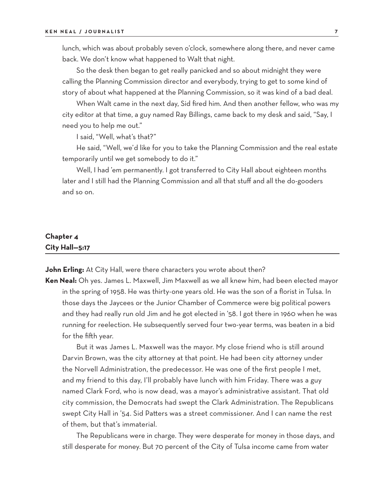lunch, which was about probably seven o'clock, somewhere along there, and never came back. We don't know what happened to Walt that night.

So the desk then began to get really panicked and so about midnight they were calling the Planning Commission director and everybody, trying to get to some kind of story of about what happened at the Planning Commission, so it was kind of a bad deal.

When Walt came in the next day, Sid fired him. And then another fellow, who was my city editor at that time, a guy named Ray Billings, came back to my desk and said, "Say, I need you to help me out."

I said, "Well, what's that?"

He said, "Well, we'd like for you to take the Planning Commission and the real estate temporarily until we get somebody to do it."

Well, I had 'em permanently. I got transferred to City Hall about eighteen months later and I still had the Planning Commission and all that stuff and all the do-gooders and so on.

#### **Chapter 4 City Hall—5:17**

**John Erling:** At City Hall, were there characters you wrote about then?

**Ken Neal:** Oh yes. James L. Maxwell, Jim Maxwell as we all knew him, had been elected mayor in the spring of 1958. He was thirty-one years old. He was the son of a florist in Tulsa. In those days the Jaycees or the Junior Chamber of Commerce were big political powers and they had really run old Jim and he got elected in '58. I got there in 1960 when he was running for reelection. He subsequently served four two-year terms, was beaten in a bid for the fifth year.

But it was James L. Maxwell was the mayor. My close friend who is still around Darvin Brown, was the city attorney at that point. He had been city attorney under the Norvell Administration, the predecessor. He was one of the first people I met, and my friend to this day, I'll probably have lunch with him Friday. There was a guy named Clark Ford, who is now dead, was a mayor's administrative assistant. That old city commission, the Democrats had swept the Clark Administration. The Republicans swept City Hall in '54. Sid Patters was a street commissioner. And I can name the rest of them, but that's immaterial.

The Republicans were in charge. They were desperate for money in those days, and still desperate for money. But 70 percent of the City of Tulsa income came from water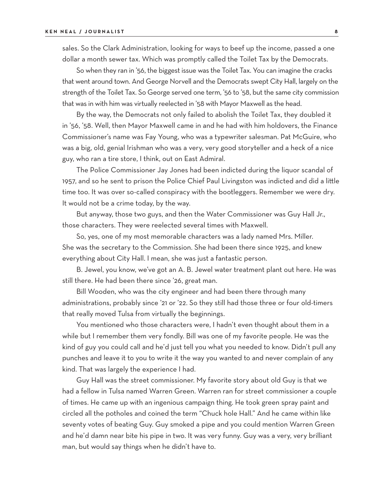sales. So the Clark Administration, looking for ways to beef up the income, passed a one dollar a month sewer tax. Which was promptly called the Toilet Tax by the Democrats.

So when they ran in '56, the biggest issue was the Toilet Tax. You can imagine the cracks that went around town. And George Norvell and the Democrats swept City Hall, largely on the strength of the Toilet Tax. So George served one term, '56 to '58, but the same city commission that was in with him was virtually reelected in '58 with Mayor Maxwell as the head.

By the way, the Democrats not only failed to abolish the Toilet Tax, they doubled it in '56, '58. Well, then Mayor Maxwell came in and he had with him holdovers, the Finance Commissioner's name was Fay Young, who was a typewriter salesman. Pat McGuire, who was a big, old, genial Irishman who was a very, very good storyteller and a heck of a nice guy, who ran a tire store, I think, out on East Admiral.

The Police Commissioner Jay Jones had been indicted during the liquor scandal of 1957, and so he sent to prison the Police Chief Paul Livingston was indicted and did a little time too. It was over so-called conspiracy with the bootleggers. Remember we were dry. It would not be a crime today, by the way.

But anyway, those two guys, and then the Water Commissioner was Guy Hall Jr., those characters. They were reelected several times with Maxwell.

So, yes, one of my most memorable characters was a lady named Mrs. Miller. She was the secretary to the Commission. She had been there since 1925, and knew everything about City Hall. I mean, she was just a fantastic person.

B. Jewel, you know, we've got an A. B. Jewel water treatment plant out here. He was still there. He had been there since '26, great man.

Bill Wooden, who was the city engineer and had been there through many administrations, probably since '21 or '22. So they still had those three or four old-timers that really moved Tulsa from virtually the beginnings.

You mentioned who those characters were, I hadn't even thought about them in a while but I remember them very fondly. Bill was one of my favorite people. He was the kind of guy you could call and he'd just tell you what you needed to know. Didn't pull any punches and leave it to you to write it the way you wanted to and never complain of any kind. That was largely the experience I had.

Guy Hall was the street commissioner. My favorite story about old Guy is that we had a fellow in Tulsa named Warren Green. Warren ran for street commissioner a couple of times. He came up with an ingenious campaign thing. He took green spray paint and circled all the potholes and coined the term "Chuck hole Hall." And he came within like seventy votes of beating Guy. Guy smoked a pipe and you could mention Warren Green and he'd damn near bite his pipe in two. It was very funny. Guy was a very, very brilliant man, but would say things when he didn't have to.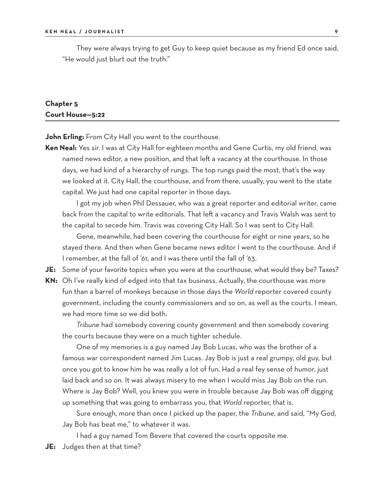They were always trying to get Guy to keep quiet because as my friend Ed once said, "He would just blurt out the truth."

#### **Chapter 5 Court House—5:22**

**John Erling:** From City Hall you went to the courthouse.

**Ken Neal:** Yes sir. I was at City Hall for eighteen months and Gene Curtis, my old friend, was named news editor, a new position, and that left a vacancy at the courthouse. In those days, we had kind of a hierarchy of rungs. The top rungs paid the most, that's the way we looked at it. City Hall, the courthouse, and from there, usually, you went to the state capital. We just had one capital reporter in those days.

I got my job when Phil Dessauer, who was a great reporter and editorial writer, came back from the capital to write editorials. That left a vacancy and Travis Walsh was sent to the capital to secede him. Travis was covering City Hall. So I was sent to City Hall.

Gene, meanwhile, had been covering the courthouse for eight or nine years, so he stayed there. And then when Gene became news editor I went to the courthouse. And if I remember, at the fall of '61, and I was there until the fall of '63.

**JE:** Some of your favorite topics when you were at the courthouse, what would they be? Taxes?

**KN:** Oh I've really kind of edged into that tax business. Actually, the courthouse was more fun than a barrel of monkeys because in those days the *World* reporter covered county government, including the county commissioners and so on, as well as the courts. I mean, we had more time so we did both.

*Tribune* had somebody covering county government and then somebody covering the courts because they were on a much tighter schedule.

One of my memories is a guy named Jay Bob Lucas, who was the brother of a famous war correspondent named Jim Lucas. Jay Bob is just a real grumpy, old guy, but once you got to know him he was really a lot of fun. Had a real fey sense of humor, just laid back and so on. It was always misery to me when I would miss Jay Bob on the run. Where is Jay Bob? Well, you knew you were in trouble because Jay Bob was off digging up something that was going to embarrass you, that *World* reporter, that is.

Sure enough, more than once I picked up the paper, the *Tribune*, and said, "My God, Jay Bob has beat me," to whatever it was.

I had a guy named Tom Bevere that covered the courts opposite me.

**JE:** Judges then at that time?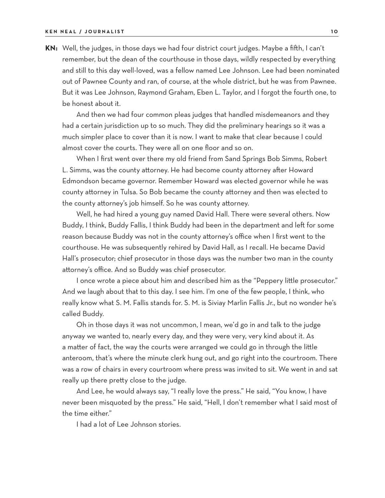**KN:** Well, the judges, in those days we had four district court judges. Maybe a fifth, I can't remember, but the dean of the courthouse in those days, wildly respected by everything and still to this day well-loved, was a fellow named Lee Johnson. Lee had been nominated out of Pawnee County and ran, of course, at the whole district, but he was from Pawnee. But it was Lee Johnson, Raymond Graham, Eben L. Taylor, and I forgot the fourth one, to be honest about it.

And then we had four common pleas judges that handled misdemeanors and they had a certain jurisdiction up to so much. They did the preliminary hearings so it was a much simpler place to cover than it is now. I want to make that clear because I could almost cover the courts. They were all on one floor and so on.

When I first went over there my old friend from Sand Springs Bob Simms, Robert L. Simms, was the county attorney. He had become county attorney after Howard Edmondson became governor. Remember Howard was elected governor while he was county attorney in Tulsa. So Bob became the county attorney and then was elected to the county attorney's job himself. So he was county attorney.

Well, he had hired a young guy named David Hall. There were several others. Now Buddy, I think, Buddy Fallis, I think Buddy had been in the department and left for some reason because Buddy was not in the county attorney's office when I first went to the courthouse. He was subsequently rehired by David Hall, as I recall. He became David Hall's prosecutor; chief prosecutor in those days was the number two man in the county attorney's office. And so Buddy was chief prosecutor.

I once wrote a piece about him and described him as the "Peppery little prosecutor." And we laugh about that to this day. I see him. I'm one of the few people, I think, who really know what S. M. Fallis stands for. S. M. is Siviay Marlin Fallis Jr., but no wonder he's called Buddy.

Oh in those days it was not uncommon, I mean, we'd go in and talk to the judge anyway we wanted to, nearly every day, and they were very, very kind about it. As a matter of fact, the way the courts were arranged we could go in through the little anteroom, that's where the minute clerk hung out, and go right into the courtroom. There was a row of chairs in every courtroom where press was invited to sit. We went in and sat really up there pretty close to the judge.

And Lee, he would always say, "I really love the press." He said, "You know, I have never been misquoted by the press." He said, "Hell, I don't remember what I said most of the time either."

I had a lot of Lee Johnson stories.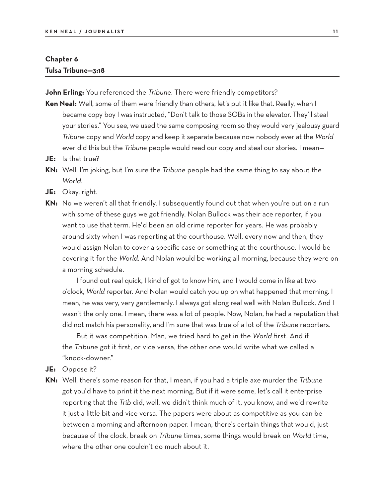#### **Chapter 6 Tulsa Tribune—3:18**

**John Erling:** You referenced the *Tribune*. There were friendly competitors?

- **Ken Neal:** Well, some of them were friendly than others, let's put it like that. Really, when I became copy boy I was instructed, "Don't talk to those SOBs in the elevator. They'll steal your stories." You see, we used the same composing room so they would very jealousy guard *Tribune* copy and *World* copy and keep it separate because now nobody ever at the *World* ever did this but the *Tribune* people would read our copy and steal our stories. I mean—
- **JE:** Is that true?
- **KN:** Well, I'm joking, but I'm sure the *Tribune* people had the same thing to say about the *World.*
- **JE:** Okay, right.
- **KN:** No we weren't all that friendly. I subsequently found out that when you're out on a run with some of these guys we got friendly. Nolan Bullock was their ace reporter, if you want to use that term. He'd been an old crime reporter for years. He was probably around sixty when I was reporting at the courthouse. Well, every now and then, they would assign Nolan to cover a specific case or something at the courthouse. I would be covering it for the *World*. And Nolan would be working all morning, because they were on a morning schedule.

I found out real quick, I kind of got to know him, and I would come in like at two o'clock, *World* reporter. And Nolan would catch you up on what happened that morning. I mean, he was very, very gentlemanly. I always got along real well with Nolan Bullock. And I wasn't the only one. I mean, there was a lot of people. Now, Nolan, he had a reputation that did not match his personality, and I'm sure that was true of a lot of the *Tribune* reporters.

But it was competition. Man, we tried hard to get in the *World* first. And if the *Tribune* got it first, or vice versa, the other one would write what we called a "knock-downer."

- **JE:** Oppose it?
- **KN:** Well, there's some reason for that, I mean, if you had a triple axe murder the *Tribune* got you'd have to print it the next morning. But if it were some, let's call it enterprise reporting that the *Trib* did, well, we didn't think much of it, you know, and we'd rewrite it just a little bit and vice versa. The papers were about as competitive as you can be between a morning and afternoon paper. I mean, there's certain things that would, just because of the clock, break on *Tribune* times, some things would break on *World* time, where the other one couldn't do much about it.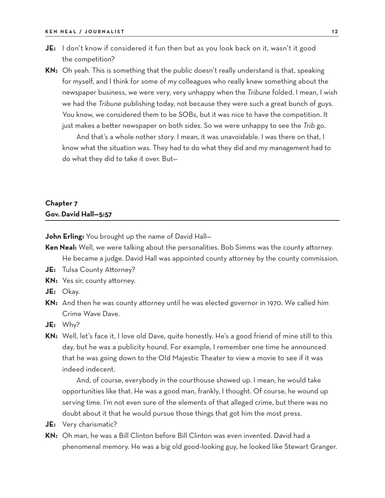- **JE:** I don't know if considered it fun then but as you look back on it, wasn't it good the competition?
- **KN:** Oh yeah. This is something that the public doesn't really understand is that, speaking for myself, and I think for some of my colleagues who really knew something about the newspaper business, we were very, very unhappy when the *Tribune* folded. I mean, I wish we had the *Tribune* publishing today, not because they were such a great bunch of guys. You know, we considered them to be SOBs, but it was nice to have the competition. It just makes a better newspaper on both sides. So we were unhappy to see the *Trib* go.

And that's a whole nother story. I mean, it was unavoidable. I was there on that, I know what the situation was. They had to do what they did and my management had to do what they did to take it over. But—

#### **Chapter 7 Gov. David Hall—5:57**

**John Erling:** You brought up the name of David Hall—

- **Ken Neal:** Well, we were talking about the personalities. Bob Simms was the county attorney. He became a judge. David Hall was appointed county attorney by the county commission.
- **JE:** Tulsa County Attorney?
- **KN:** Yes sir, county attorney.
- **JE:** Okay.
- **KN:** And then he was county attorney until he was elected governor in 1970. We called him Crime Wave Dave.
- **JE:** Why?
- **KN:** Well, let's face it, I love old Dave, quite honestly. He's a good friend of mine still to this day, but he was a publicity hound. For example, I remember one time he announced that he was going down to the Old Majestic Theater to view a movie to see if it was indeed indecent.

And, of course, everybody in the courthouse showed up. I mean, he would take opportunities like that. He was a good man, frankly, I thought. Of course, he wound up serving time. I'm not even sure of the elements of that alleged crime, but there was no doubt about it that he would pursue those things that got him the most press.

- **JE:** Very charismatic?
- **KN:** Oh man, he was a Bill Clinton before Bill Clinton was even invented. David had a phenomenal memory. He was a big old good-looking guy, he looked like Stewart Granger.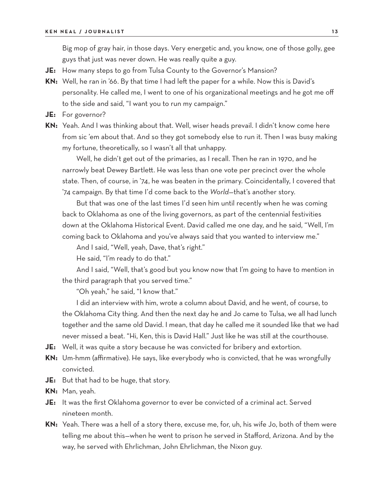Big mop of gray hair, in those days. Very energetic and, you know, one of those golly, gee guys that just was never down. He was really quite a guy.

- **JE:** How many steps to go from Tulsa County to the Governor's Mansion?
- **KN:** Well, he ran in '66. By that time I had left the paper for a while. Now this is David's personality. He called me, I went to one of his organizational meetings and he got me off to the side and said, "I want you to run my campaign."
- **JE:** For governor?
- **KN:** Yeah. And I was thinking about that. Well, wiser heads prevail. I didn't know come here from sic 'em about that. And so they got somebody else to run it. Then I was busy making my fortune, theoretically, so I wasn't all that unhappy.

Well, he didn't get out of the primaries, as I recall. Then he ran in 1970, and he narrowly beat Dewey Bartlett. He was less than one vote per precinct over the whole state. Then, of course, in '74, he was beaten in the primary. Coincidentally, I covered that '74 campaign. By that time I'd come back to the *World*—that's another story.

But that was one of the last times I'd seen him until recently when he was coming back to Oklahoma as one of the living governors, as part of the centennial festivities down at the Oklahoma Historical Event. David called me one day, and he said, "Well, I'm coming back to Oklahoma and you've always said that you wanted to interview me."

And I said, "Well, yeah, Dave, that's right."

He said, "I'm ready to do that."

And I said, "Well, that's good but you know now that I'm going to have to mention in the third paragraph that you served time."

"Oh yeah," he said, "I know that."

I did an interview with him, wrote a column about David, and he went, of course, to the Oklahoma City thing. And then the next day he and Jo came to Tulsa, we all had lunch together and the same old David. I mean, that day he called me it sounded like that we had never missed a beat. "Hi, Ken, this is David Hall." Just like he was still at the courthouse.

**JE:** Well, it was quite a story because he was convicted for bribery and extortion.

- **KN:** Um-hmm (affirmative). He says, like everybody who is convicted, that he was wrongfully convicted.
- **JE:** But that had to be huge, that story.
- **KN:** Man, yeah.
- **JE:** It was the first Oklahoma governor to ever be convicted of a criminal act. Served nineteen month.
- **KN:** Yeah. There was a hell of a story there, excuse me, for, uh, his wife Jo, both of them were telling me about this—when he went to prison he served in Stafford, Arizona. And by the way, he served with Ehrlichman, John Ehrlichman, the Nixon guy.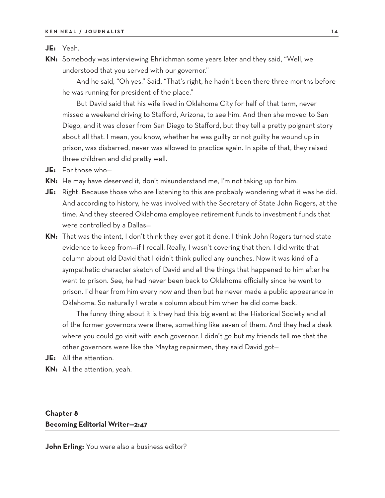#### **JE:** Yeah.

**KN:** Somebody was interviewing Ehrlichman some years later and they said, "Well, we understood that you served with our governor."

And he said, "Oh yes." Said, "That's right, he hadn't been there three months before he was running for president of the place."

But David said that his wife lived in Oklahoma City for half of that term, never missed a weekend driving to Stafford, Arizona, to see him. And then she moved to San Diego, and it was closer from San Diego to Stafford, but they tell a pretty poignant story about all that. I mean, you know, whether he was guilty or not guilty he wound up in prison, was disbarred, never was allowed to practice again. In spite of that, they raised three children and did pretty well.

- **JE:** For those who—
- **KN:** He may have deserved it, don't misunderstand me, I'm not taking up for him.
- **JE:** Right. Because those who are listening to this are probably wondering what it was he did. And according to history, he was involved with the Secretary of State John Rogers, at the time. And they steered Oklahoma employee retirement funds to investment funds that were controlled by a Dallas—
- **KN:** That was the intent, I don't think they ever got it done. I think John Rogers turned state evidence to keep from—if I recall. Really, I wasn't covering that then. I did write that column about old David that I didn't think pulled any punches. Now it was kind of a sympathetic character sketch of David and all the things that happened to him after he went to prison. See, he had never been back to Oklahoma officially since he went to prison. I'd hear from him every now and then but he never made a public appearance in Oklahoma. So naturally I wrote a column about him when he did come back.

The funny thing about it is they had this big event at the Historical Society and all of the former governors were there, something like seven of them. And they had a desk where you could go visit with each governor. I didn't go but my friends tell me that the other governors were like the Maytag repairmen, they said David got—

- **JE:** All the attention.
- **KN:** All the attention, yeah.

## **Chapter 8 Becoming Editorial Writer—2:47**

**John Erling:** You were also a business editor?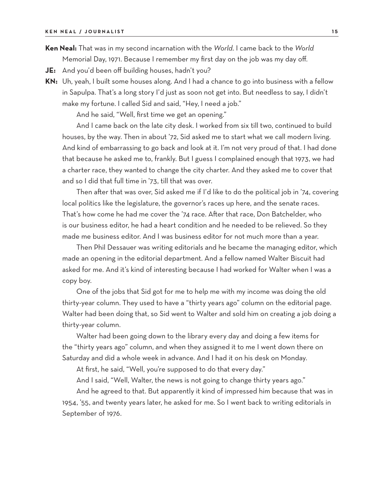**Ken Neal:** That was in my second incarnation with the *World*. I came back to the *World* Memorial Day, 1971. Because I remember my first day on the job was my day off.

- **JE:** And you'd been off building houses, hadn't you?
- **KN:** Uh, yeah, I built some houses along. And I had a chance to go into business with a fellow in Sapulpa. That's a long story I'd just as soon not get into. But needless to say, I didn't make my fortune. I called Sid and said, "Hey, I need a job."

And he said, "Well, first time we get an opening."

And I came back on the late city desk. I worked from six till two, continued to build houses, by the way. Then in about '72, Sid asked me to start what we call modern living. And kind of embarrassing to go back and look at it. I'm not very proud of that. I had done that because he asked me to, frankly. But I guess I complained enough that 1973, we had a charter race, they wanted to change the city charter. And they asked me to cover that and so I did that full time in '73, till that was over.

Then after that was over, Sid asked me if I'd like to do the political job in '74, covering local politics like the legislature, the governor's races up here, and the senate races. That's how come he had me cover the '74 race. After that race, Don Batchelder, who is our business editor, he had a heart condition and he needed to be relieved. So they made me business editor. And I was business editor for not much more than a year.

Then Phil Dessauer was writing editorials and he became the managing editor, which made an opening in the editorial department. And a fellow named Walter Biscuit had asked for me. And it's kind of interesting because I had worked for Walter when I was a copy boy.

One of the jobs that Sid got for me to help me with my income was doing the old thirty-year column. They used to have a "thirty years ago" column on the editorial page. Walter had been doing that, so Sid went to Walter and sold him on creating a job doing a thirty-year column.

Walter had been going down to the library every day and doing a few items for the "thirty years ago" column, and when they assigned it to me I went down there on Saturday and did a whole week in advance. And I had it on his desk on Monday.

At first, he said, "Well, you're supposed to do that every day."

And I said, "Well, Walter, the news is not going to change thirty years ago."

And he agreed to that. But apparently it kind of impressed him because that was in 1954, '55, and twenty years later, he asked for me. So I went back to writing editorials in September of 1976.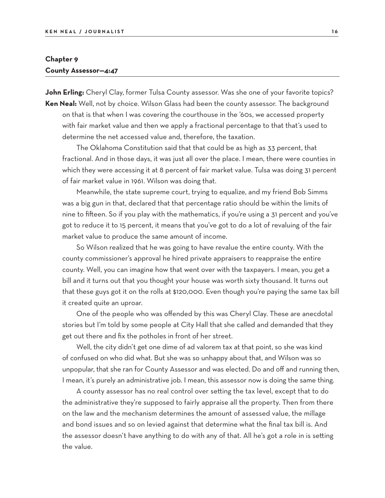### **Chapter 9 County Assessor—4:47**

**John Erling:** Cheryl Clay, former Tulsa County assessor. Was she one of your favorite topics? **Ken Neal:** Well, not by choice. Wilson Glass had been the county assessor. The background

on that is that when I was covering the courthouse in the '60s, we accessed property with fair market value and then we apply a fractional percentage to that that's used to determine the net accessed value and, therefore, the taxation.

The Oklahoma Constitution said that that could be as high as 33 percent, that fractional. And in those days, it was just all over the place. I mean, there were counties in which they were accessing it at 8 percent of fair market value. Tulsa was doing 31 percent of fair market value in 1961. Wilson was doing that.

Meanwhile, the state supreme court, trying to equalize, and my friend Bob Simms was a big gun in that, declared that that percentage ratio should be within the limits of nine to fifteen. So if you play with the mathematics, if you're using a 31 percent and you've got to reduce it to 15 percent, it means that you've got to do a lot of revaluing of the fair market value to produce the same amount of income.

So Wilson realized that he was going to have revalue the entire county. With the county commissioner's approval he hired private appraisers to reappraise the entire county. Well, you can imagine how that went over with the taxpayers. I mean, you get a bill and it turns out that you thought your house was worth sixty thousand. It turns out that these guys got it on the rolls at \$120,000. Even though you're paying the same tax bill it created quite an uproar.

One of the people who was offended by this was Cheryl Clay. These are anecdotal stories but I'm told by some people at City Hall that she called and demanded that they get out there and fix the potholes in front of her street.

Well, the city didn't get one dime of ad valorem tax at that point, so she was kind of confused on who did what. But she was so unhappy about that, and Wilson was so unpopular, that she ran for County Assessor and was elected. Do and off and running then, I mean, it's purely an administrative job. I mean, this assessor now is doing the same thing.

A county assessor has no real control over setting the tax level, except that to do the administrative they're supposed to fairly appraise all the property. Then from there on the law and the mechanism determines the amount of assessed value, the millage and bond issues and so on levied against that determine what the final tax bill is. And the assessor doesn't have anything to do with any of that. All he's got a role in is setting the value.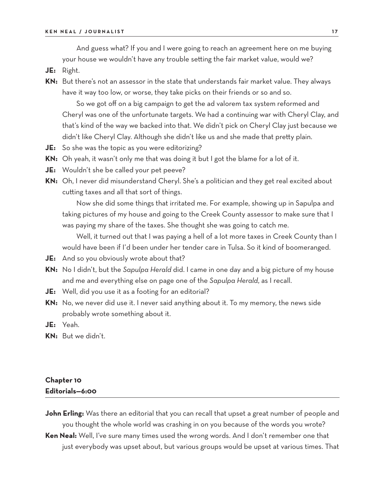And guess what? If you and I were going to reach an agreement here on me buying your house we wouldn't have any trouble setting the fair market value, would we?

- **JE:** Right.
- **KN:** But there's not an assessor in the state that understands fair market value. They always have it way too low, or worse, they take picks on their friends or so and so.

So we got off on a big campaign to get the ad valorem tax system reformed and Cheryl was one of the unfortunate targets. We had a continuing war with Cheryl Clay, and that's kind of the way we backed into that. We didn't pick on Cheryl Clay just because we didn't like Cheryl Clay. Although she didn't like us and she made that pretty plain.

- **JE:** So she was the topic as you were editorizing?
- **KN:** Oh yeah, it wasn't only me that was doing it but I got the blame for a lot of it.
- **JE:** Wouldn't she be called your pet peeve?
- **KN:** Oh, I never did misunderstand Cheryl. She's a politician and they get real excited about cutting taxes and all that sort of things.

Now she did some things that irritated me. For example, showing up in Sapulpa and taking pictures of my house and going to the Creek County assessor to make sure that I was paying my share of the taxes. She thought she was going to catch me.

Well, it turned out that I was paying a hell of a lot more taxes in Creek County than I would have been if I'd been under her tender care in Tulsa. So it kind of boomeranged.

- **JE:** And so you obviously wrote about that?
- **KN:** No I didn't, but the *Sapulpa Herald* did. I came in one day and a big picture of my house and me and everything else on page one of the *Sapulpa Herald*, as I recall.
- **JE:** Well, did you use it as a footing for an editorial?
- **KN:** No, we never did use it. I never said anything about it. To my memory, the news side probably wrote something about it.
- **JE:** Yeah.
- **KN:** But we didn't.

## **Chapter 10 Editorials—6:00**

**John Erling:** Was there an editorial that you can recall that upset a great number of people and you thought the whole world was crashing in on you because of the words you wrote?

**Ken Neal:** Well, I've sure many times used the wrong words. And I don't remember one that just everybody was upset about, but various groups would be upset at various times. That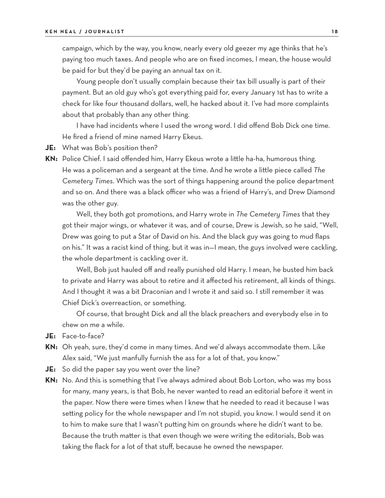campaign, which by the way, you know, nearly every old geezer my age thinks that he's paying too much taxes. And people who are on fixed incomes, I mean, the house would be paid for but they'd be paying an annual tax on it.

Young people don't usually complain because their tax bill usually is part of their payment. But an old guy who's got everything paid for, every January 1st has to write a check for like four thousand dollars, well, he hacked about it. I've had more complaints about that probably than any other thing.

I have had incidents where I used the wrong word. I did offend Bob Dick one time. He fired a friend of mine named Harry Ekeus.

**JE:** What was Bob's position then?

**KN:** Police Chief. I said offended him, Harry Ekeus wrote a little ha-ha, humorous thing. He was a policeman and a sergeant at the time. And he wrote a little piece called *The Cemetery Times*. Which was the sort of things happening around the police department and so on. And there was a black officer who was a friend of Harry's, and Drew Diamond was the other guy.

Well, they both got promotions, and Harry wrote in *The Cemetery Times* that they got their major wings, or whatever it was, and of course, Drew is Jewish, so he said, "Well, Drew was going to put a Star of David on his. And the black guy was going to mud flaps on his." It was a racist kind of thing, but it was in—I mean, the guys involved were cackling, the whole department is cackling over it.

Well, Bob just hauled off and really punished old Harry. I mean, he busted him back to private and Harry was about to retire and it affected his retirement, all kinds of things. And I thought it was a bit Draconian and I wrote it and said so. I still remember it was Chief Dick's overreaction, or something.

Of course, that brought Dick and all the black preachers and everybody else in to chew on me a while.

- **JE:** Face-to-face?
- **KN:** Oh yeah, sure, they'd come in many times. And we'd always accommodate them. Like Alex said, "We just manfully furnish the ass for a lot of that, you know."
- **JE:** So did the paper say you went over the line?
- **KN:** No. And this is something that I've always admired about Bob Lorton, who was my boss for many, many years, is that Bob, he never wanted to read an editorial before it went in the paper. Now there were times when I knew that he needed to read it because I was setting policy for the whole newspaper and I'm not stupid, you know. I would send it on to him to make sure that I wasn't putting him on grounds where he didn't want to be. Because the truth matter is that even though we were writing the editorials, Bob was taking the flack for a lot of that stuff, because he owned the newspaper.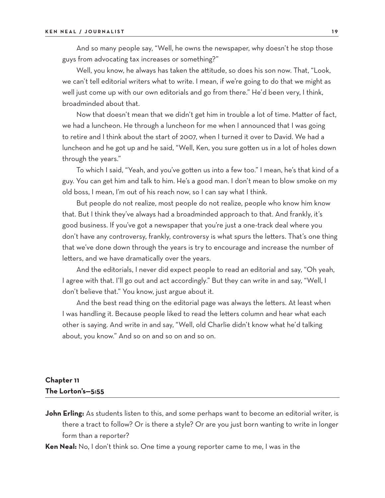And so many people say, "Well, he owns the newspaper, why doesn't he stop those guys from advocating tax increases or something?"

Well, you know, he always has taken the attitude, so does his son now. That, "Look, we can't tell editorial writers what to write. I mean, if we're going to do that we might as well just come up with our own editorials and go from there." He'd been very, I think, broadminded about that.

Now that doesn't mean that we didn't get him in trouble a lot of time. Matter of fact, we had a luncheon. He through a luncheon for me when I announced that I was going to retire and I think about the start of 2007, when I turned it over to David. We had a luncheon and he got up and he said, "Well, Ken, you sure gotten us in a lot of holes down through the years."

To which I said, "Yeah, and you've gotten us into a few too." I mean, he's that kind of a guy. You can get him and talk to him. He's a good man. I don't mean to blow smoke on my old boss, I mean, I'm out of his reach now, so I can say what I think.

But people do not realize, most people do not realize, people who know him know that. But I think they've always had a broadminded approach to that. And frankly, it's good business. If you've got a newspaper that you're just a one-track deal where you don't have any controversy, frankly, controversy is what spurs the letters. That's one thing that we've done down through the years is try to encourage and increase the number of letters, and we have dramatically over the years.

And the editorials, I never did expect people to read an editorial and say, "Oh yeah, I agree with that. I'll go out and act accordingly." But they can write in and say, "Well, I don't believe that." You know, just argue about it.

And the best read thing on the editorial page was always the letters. At least when I was handling it. Because people liked to read the letters column and hear what each other is saying. And write in and say, "Well, old Charlie didn't know what he'd talking about, you know." And so on and so on and so on.

## **Chapter 11 The Lorton's—5:55**

- **John Erling:** As students listen to this, and some perhaps want to become an editorial writer, is there a tract to follow? Or is there a style? Or are you just born wanting to write in longer form than a reporter?
- **Ken Neal:** No, I don't think so. One time a young reporter came to me, I was in the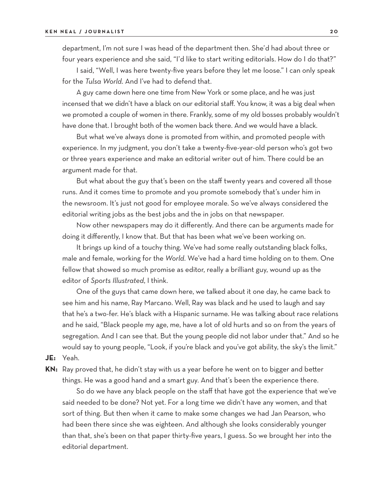department, I'm not sure I was head of the department then. She'd had about three or four years experience and she said, "I'd like to start writing editorials. How do I do that?"

I said, "Well, I was here twenty-five years before they let me loose." I can only speak for the *Tulsa World*. And I've had to defend that.

A guy came down here one time from New York or some place, and he was just incensed that we didn't have a black on our editorial staff. You know, it was a big deal when we promoted a couple of women in there. Frankly, some of my old bosses probably wouldn't have done that. I brought both of the women back there. And we would have a black.

But what we've always done is promoted from within, and promoted people with experience. In my judgment, you don't take a twenty-five-year-old person who's got two or three years experience and make an editorial writer out of him. There could be an argument made for that.

But what about the guy that's been on the staff twenty years and covered all those runs. And it comes time to promote and you promote somebody that's under him in the newsroom. It's just not good for employee morale. So we've always considered the editorial writing jobs as the best jobs and the in jobs on that newspaper.

Now other newspapers may do it differently. And there can be arguments made for doing it differently, I know that. But that has been what we've been working on.

It brings up kind of a touchy thing. We've had some really outstanding black folks, male and female, working for the *World*. We've had a hard time holding on to them. One fellow that showed so much promise as editor, really a brilliant guy, wound up as the editor of *Sports Illustrated*, I think.

One of the guys that came down here, we talked about it one day, he came back to see him and his name, Ray Marcano. Well, Ray was black and he used to laugh and say that he's a two-fer. He's black with a Hispanic surname. He was talking about race relations and he said, "Black people my age, me, have a lot of old hurts and so on from the years of segregation. And I can see that. But the young people did not labor under that." And so he would say to young people, "Look, if you're black and you've got ability, the sky's the limit."

**JE:** Yeah.

**KN:** Ray proved that, he didn't stay with us a year before he went on to bigger and better things. He was a good hand and a smart guy. And that's been the experience there.

So do we have any black people on the staff that have got the experience that we've said needed to be done? Not yet. For a long time we didn't have any women, and that sort of thing. But then when it came to make some changes we had Jan Pearson, who had been there since she was eighteen. And although she looks considerably younger than that, she's been on that paper thirty-five years, I guess. So we brought her into the editorial department.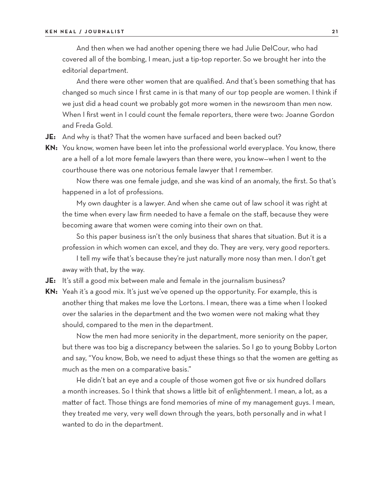#### **KEN NEAL / JOURNALIST 2 1**

And then when we had another opening there we had Julie DelCour, who had covered all of the bombing, I mean, just a tip-top reporter. So we brought her into the editorial department.

And there were other women that are qualified. And that's been something that has changed so much since I first came in is that many of our top people are women. I think if we just did a head count we probably got more women in the newsroom than men now. When I first went in I could count the female reporters, there were two: Joanne Gordon and Freda Gold.

- **JE:** And why is that? That the women have surfaced and been backed out?
- **KN:** You know, women have been let into the professional world everyplace. You know, there are a hell of a lot more female lawyers than there were, you know—when I went to the courthouse there was one notorious female lawyer that I remember.

Now there was one female judge, and she was kind of an anomaly, the first. So that's happened in a lot of professions.

My own daughter is a lawyer. And when she came out of law school it was right at the time when every law firm needed to have a female on the staff, because they were becoming aware that women were coming into their own on that.

So this paper business isn't the only business that shares that situation. But it is a profession in which women can excel, and they do. They are very, very good reporters. I tell my wife that's because they're just naturally more nosy than men. I don't get

away with that, by the way.

**JE:** It's still a good mix between male and female in the journalism business?

**KN:** Yeah it's a good mix. It's just we've opened up the opportunity. For example, this is another thing that makes me love the Lortons. I mean, there was a time when I looked over the salaries in the department and the two women were not making what they should, compared to the men in the department.

Now the men had more seniority in the department, more seniority on the paper, but there was too big a discrepancy between the salaries. So I go to young Bobby Lorton and say, "You know, Bob, we need to adjust these things so that the women are getting as much as the men on a comparative basis."

He didn't bat an eye and a couple of those women got five or six hundred dollars a month increases. So I think that shows a little bit of enlightenment. I mean, a lot, as a matter of fact. Those things are fond memories of mine of my management guys. I mean, they treated me very, very well down through the years, both personally and in what I wanted to do in the department.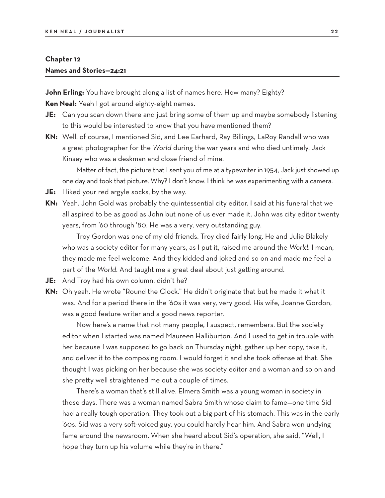#### **Chapter 12**

#### **Names and Stories—24:21**

**John Erling:** You have brought along a list of names here. How many? Eighty?

**Ken Neal:** Yeah I got around eighty-eight names.

- **JE:** Can you scan down there and just bring some of them up and maybe somebody listening to this would be interested to know that you have mentioned them?
- **KN:** Well, of course, I mentioned Sid, and Lee Earhard, Ray Billings, LaRoy Randall who was a great photographer for the *World* during the war years and who died untimely. Jack Kinsey who was a deskman and close friend of mine.

Matter of fact, the picture that I sent you of me at a typewriter in 1954, Jack just showed up one day and took that picture. Why? I don't know. I think he was experimenting with a camera.

- **JE:** I liked your red argyle socks, by the way.
- **KN:** Yeah. John Gold was probably the quintessential city editor. I said at his funeral that we all aspired to be as good as John but none of us ever made it. John was city editor twenty years, from '60 through '80. He was a very, very outstanding guy.

Troy Gordon was one of my old friends. Troy died fairly long. He and Julie Blakely who was a society editor for many years, as I put it, raised me around the *World*. I mean, they made me feel welcome. And they kidded and joked and so on and made me feel a part of the *World*. And taught me a great deal about just getting around.

- **JE:** And Troy had his own column, didn't he?
- **KN:** Oh yeah. He wrote "Round the Clock." He didn't originate that but he made it what it was. And for a period there in the '60s it was very, very good. His wife, Joanne Gordon, was a good feature writer and a good news reporter.

Now here's a name that not many people, I suspect, remembers. But the society editor when I started was named Maureen Halliburton. And I used to get in trouble with her because I was supposed to go back on Thursday night, gather up her copy, take it, and deliver it to the composing room. I would forget it and she took offense at that. She thought I was picking on her because she was society editor and a woman and so on and she pretty well straightened me out a couple of times.

There's a woman that's still alive. Elmera Smith was a young woman in society in those days. There was a woman named Sabra Smith whose claim to fame—one time Sid had a really tough operation. They took out a big part of his stomach. This was in the early '60s. Sid was a very soft-voiced guy, you could hardly hear him. And Sabra won undying fame around the newsroom. When she heard about Sid's operation, she said, "Well, I hope they turn up his volume while they're in there."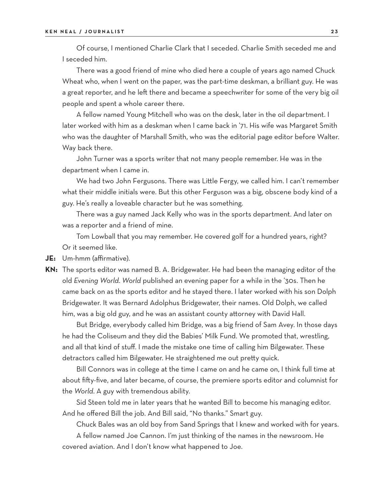Of course, I mentioned Charlie Clark that I seceded. Charlie Smith seceded me and I seceded him.

There was a good friend of mine who died here a couple of years ago named Chuck Wheat who, when I went on the paper, was the part-time deskman, a brilliant guy. He was a great reporter, and he left there and became a speechwriter for some of the very big oil people and spent a whole career there.

A fellow named Young Mitchell who was on the desk, later in the oil department. I later worked with him as a deskman when I came back in '71. His wife was Margaret Smith who was the daughter of Marshall Smith, who was the editorial page editor before Walter. Way back there.

John Turner was a sports writer that not many people remember. He was in the department when I came in.

We had two John Fergusons. There was Little Fergy, we called him. I can't remember what their middle initials were. But this other Ferguson was a big, obscene body kind of a guy. He's really a loveable character but he was something.

There was a guy named Jack Kelly who was in the sports department. And later on was a reporter and a friend of mine.

Tom Lowball that you may remember. He covered golf for a hundred years, right? Or it seemed like.

**JE:** Um-hmm (affirmative).

**KN:** The sports editor was named B. A. Bridgewater. He had been the managing editor of the old *Evening World*. *World* published an evening paper for a while in the '30s. Then he came back on as the sports editor and he stayed there. I later worked with his son Dolph Bridgewater. It was Bernard Adolphus Bridgewater, their names. Old Dolph, we called him, was a big old guy, and he was an assistant county attorney with David Hall.

But Bridge, everybody called him Bridge, was a big friend of Sam Avey. In those days he had the Coliseum and they did the Babies' Milk Fund. We promoted that, wrestling, and all that kind of stuff. I made the mistake one time of calling him Bilgewater. These detractors called him Bilgewater. He straightened me out pretty quick.

Bill Connors was in college at the time I came on and he came on, I think full time at about fifty-five, and later became, of course, the premiere sports editor and columnist for the *World*. A guy with tremendous ability.

Sid Steen told me in later years that he wanted Bill to become his managing editor. And he offered Bill the job. And Bill said, "No thanks." Smart guy.

Chuck Bales was an old boy from Sand Springs that I knew and worked with for years.

A fellow named Joe Cannon. I'm just thinking of the names in the newsroom. He covered aviation. And I don't know what happened to Joe.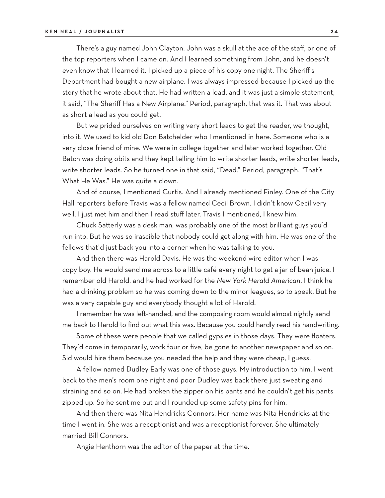There's a guy named John Clayton. John was a skull at the ace of the staff, or one of the top reporters when I came on. And I learned something from John, and he doesn't even know that I learned it. I picked up a piece of his copy one night. The Sheriff's Department had bought a new airplane. I was always impressed because I picked up the story that he wrote about that. He had written a lead, and it was just a simple statement, it said, "The Sheriff Has a New Airplane." Period, paragraph, that was it. That was about as short a lead as you could get.

But we prided ourselves on writing very short leads to get the reader, we thought, into it. We used to kid old Don Batchelder who I mentioned in here. Someone who is a very close friend of mine. We were in college together and later worked together. Old Batch was doing obits and they kept telling him to write shorter leads, write shorter leads, write shorter leads. So he turned one in that said, "Dead." Period, paragraph. "That's What He Was." He was quite a clown.

And of course, I mentioned Curtis. And I already mentioned Finley. One of the City Hall reporters before Travis was a fellow named Cecil Brown. I didn't know Cecil very well. I just met him and then I read stuff later. Travis I mentioned, I knew him.

Chuck Satterly was a desk man, was probably one of the most brilliant guys you'd run into. But he was so irascible that nobody could get along with him. He was one of the fellows that'd just back you into a corner when he was talking to you.

And then there was Harold Davis. He was the weekend wire editor when I was copy boy. He would send me across to a little café every night to get a jar of bean juice. I remember old Harold, and he had worked for the *New York Herald American*. I think he had a drinking problem so he was coming down to the minor leagues, so to speak. But he was a very capable guy and everybody thought a lot of Harold.

I remember he was left-handed, and the composing room would almost nightly send me back to Harold to find out what this was. Because you could hardly read his handwriting.

Some of these were people that we called gypsies in those days. They were floaters. They'd come in temporarily, work four or five, be gone to another newspaper and so on. Sid would hire them because you needed the help and they were cheap, I guess.

A fellow named Dudley Early was one of those guys. My introduction to him, I went back to the men's room one night and poor Dudley was back there just sweating and straining and so on. He had broken the zipper on his pants and he couldn't get his pants zipped up. So he sent me out and I rounded up some safety pins for him.

And then there was Nita Hendricks Connors. Her name was Nita Hendricks at the time I went in. She was a receptionist and was a receptionist forever. She ultimately married Bill Connors.

Angie Henthorn was the editor of the paper at the time.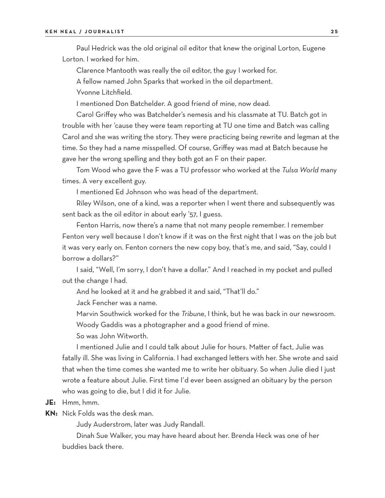#### **KEN NEAL / JOURNALIST 2 5**

Paul Hedrick was the old original oil editor that knew the original Lorton, Eugene Lorton. I worked for him.

Clarence Mantooth was really the oil editor, the guy I worked for.

A fellow named John Sparks that worked in the oil department. Yvonne Litchfield.

I mentioned Don Batchelder. A good friend of mine, now dead.

Carol Griffey who was Batchelder's nemesis and his classmate at TU. Batch got in trouble with her 'cause they were team reporting at TU one time and Batch was calling Carol and she was writing the story. They were practicing being rewrite and legman at the time. So they had a name misspelled. Of course, Griffey was mad at Batch because he gave her the wrong spelling and they both got an F on their paper.

Tom Wood who gave the F was a TU professor who worked at the *Tulsa World* many times. A very excellent guy.

I mentioned Ed Johnson who was head of the department.

Riley Wilson, one of a kind, was a reporter when I went there and subsequently was sent back as the oil editor in about early '57, I guess.

Fenton Harris, now there's a name that not many people remember. I remember Fenton very well because I don't know if it was on the first night that I was on the job but it was very early on. Fenton corners the new copy boy, that's me, and said, "Say, could I borrow a dollars?"

I said, "Well, I'm sorry, I don't have a dollar." And I reached in my pocket and pulled out the change I had.

And he looked at it and he grabbed it and said, "That'll do."

Jack Fencher was a name.

Marvin Southwick worked for the *Tribune*, I think, but he was back in our newsroom.

Woody Gaddis was a photographer and a good friend of mine.

So was John Witworth.

I mentioned Julie and I could talk about Julie for hours. Matter of fact, Julie was fatally ill. She was living in California. I had exchanged letters with her. She wrote and said that when the time comes she wanted me to write her obituary. So when Julie died I just wrote a feature about Julie. First time I'd ever been assigned an obituary by the person who was going to die, but I did it for Julie.

- **JE:** Hmm, hmm.
- **KN:** Nick Folds was the desk man.

Judy Auderstrom, later was Judy Randall.

Dinah Sue Walker, you may have heard about her. Brenda Heck was one of her buddies back there.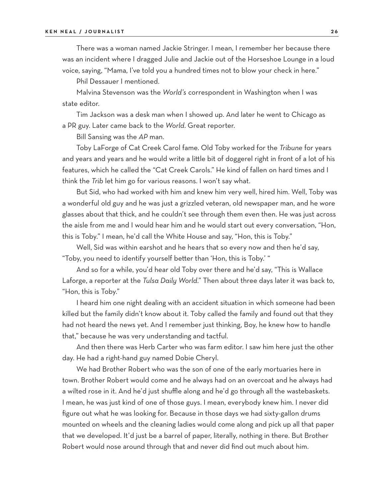There was a woman named Jackie Stringer. I mean, I remember her because there was an incident where I dragged Julie and Jackie out of the Horseshoe Lounge in a loud voice, saying, "Mama, I've told you a hundred times not to blow your check in here."

Phil Dessauer I mentioned.

Malvina Stevenson was the *World's* correspondent in Washington when I was state editor.

Tim Jackson was a desk man when I showed up. And later he went to Chicago as a PR guy. Later came back to the *World*. Great reporter.

Bill Sansing was the *AP* man.

Toby LaForge of Cat Creek Carol fame. Old Toby worked for the *Tribune* for years and years and years and he would write a little bit of doggerel right in front of a lot of his features, which he called the "Cat Creek Carols." He kind of fallen on hard times and I think the *Trib* let him go for various reasons. I won't say what.

But Sid, who had worked with him and knew him very well, hired him. Well, Toby was a wonderful old guy and he was just a grizzled veteran, old newspaper man, and he wore glasses about that thick, and he couldn't see through them even then. He was just across the aisle from me and I would hear him and he would start out every conversation, "Hon, this is Toby." I mean, he'd call the White House and say, "Hon, this is Toby."

Well, Sid was within earshot and he hears that so every now and then he'd say, "Toby, you need to identify yourself better than 'Hon, this is Toby.' "

And so for a while, you'd hear old Toby over there and he'd say, "This is Wallace Laforge, a reporter at the *Tulsa Daily World*." Then about three days later it was back to, "Hon, this is Toby."

I heard him one night dealing with an accident situation in which someone had been killed but the family didn't know about it. Toby called the family and found out that they had not heard the news yet. And I remember just thinking, Boy, he knew how to handle that," because he was very understanding and tactful.

And then there was Herb Carter who was farm editor. I saw him here just the other day. He had a right-hand guy named Dobie Cheryl.

We had Brother Robert who was the son of one of the early mortuaries here in town. Brother Robert would come and he always had on an overcoat and he always had a wilted rose in it. And he'd just shuffle along and he'd go through all the wastebaskets. I mean, he was just kind of one of those guys. I mean, everybody knew him. I never did figure out what he was looking for. Because in those days we had sixty-gallon drums mounted on wheels and the cleaning ladies would come along and pick up all that paper that we developed. It'd just be a barrel of paper, literally, nothing in there. But Brother Robert would nose around through that and never did find out much about him.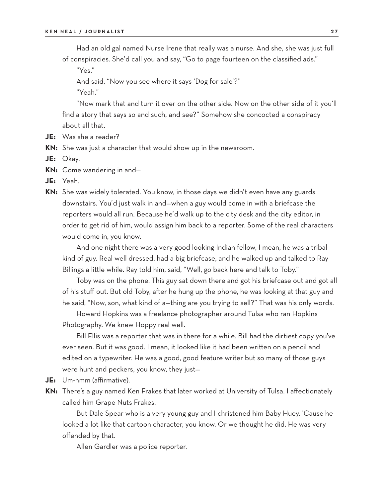Had an old gal named Nurse Irene that really was a nurse. And she, she was just full of conspiracies. She'd call you and say, "Go to page fourteen on the classified ads."

"Yes."

And said, "Now you see where it says 'Dog for sale'?" "Yeah."

"Now mark that and turn it over on the other side. Now on the other side of it you'll find a story that says so and such, and see?" Somehow she concocted a conspiracy about all that.

**JE:** Was she a reader?

**KN:** She was just a character that would show up in the newsroom.

**JE:** Okay.

**KN:** Come wandering in and—

- **JE:** Yeah.
- **KN:** She was widely tolerated. You know, in those days we didn't even have any guards downstairs. You'd just walk in and—when a guy would come in with a briefcase the reporters would all run. Because he'd walk up to the city desk and the city editor, in order to get rid of him, would assign him back to a reporter. Some of the real characters would come in, you know.

And one night there was a very good looking Indian fellow, I mean, he was a tribal kind of guy. Real well dressed, had a big briefcase, and he walked up and talked to Ray Billings a little while. Ray told him, said, "Well, go back here and talk to Toby."

Toby was on the phone. This guy sat down there and got his briefcase out and got all of his stuff out. But old Toby, after he hung up the phone, he was looking at that guy and he said, "Now, son, what kind of a—thing are you trying to sell?" That was his only words.

Howard Hopkins was a freelance photographer around Tulsa who ran Hopkins Photography. We knew Hoppy real well.

Bill Ellis was a reporter that was in there for a while. Bill had the dirtiest copy you've ever seen. But it was good. I mean, it looked like it had been written on a pencil and edited on a typewriter. He was a good, good feature writer but so many of those guys were hunt and peckers, you know, they just—

- **JE:** Um-hmm (affirmative).
- **KN:** There's a guy named Ken Frakes that later worked at University of Tulsa. I affectionately called him Grape Nuts Frakes.

But Dale Spear who is a very young guy and I christened him Baby Huey. 'Cause he looked a lot like that cartoon character, you know. Or we thought he did. He was very offended by that.

Allen Gardler was a police reporter.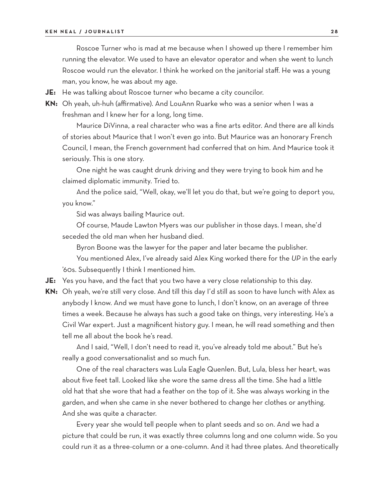Roscoe Turner who is mad at me because when I showed up there I remember him running the elevator. We used to have an elevator operator and when she went to lunch Roscoe would run the elevator. I think he worked on the janitorial staff. He was a young man, you know, he was about my age.

**JE:** He was talking about Roscoe turner who became a city councilor.

**KN:** Oh yeah, uh-huh (affirmative). And LouAnn Ruarke who was a senior when I was a freshman and I knew her for a long, long time.

Maurice DiVinna, a real character who was a fine arts editor. And there are all kinds of stories about Maurice that I won't even go into. But Maurice was an honorary French Council, I mean, the French government had conferred that on him. And Maurice took it seriously. This is one story.

One night he was caught drunk driving and they were trying to book him and he claimed diplomatic immunity. Tried to.

And the police said, "Well, okay, we'll let you do that, but we're going to deport you, you know."

Sid was always bailing Maurice out.

Of course, Maude Lawton Myers was our publisher in those days. I mean, she'd seceded the old man when her husband died.

Byron Boone was the lawyer for the paper and later became the publisher.

You mentioned Alex, I've already said Alex King worked there for the *UP* in the early '60s. Subsequently I think I mentioned him.

**JE:** Yes you have, and the fact that you two have a very close relationship to this day.

**KN:** Oh yeah, we're still very close. And till this day I'd still as soon to have lunch with Alex as anybody I know. And we must have gone to lunch, I don't know, on an average of three times a week. Because he always has such a good take on things, very interesting. He's a Civil War expert. Just a magnificent history guy. I mean, he will read something and then tell me all about the book he's read.

And I said, "Well, I don't need to read it, you've already told me about." But he's really a good conversationalist and so much fun.

One of the real characters was Lula Eagle Quenlen. But, Lula, bless her heart, was about five feet tall. Looked like she wore the same dress all the time. She had a little old hat that she wore that had a feather on the top of it. She was always working in the garden, and when she came in she never bothered to change her clothes or anything. And she was quite a character.

Every year she would tell people when to plant seeds and so on. And we had a picture that could be run, it was exactly three columns long and one column wide. So you could run it as a three-column or a one-column. And it had three plates. And theoretically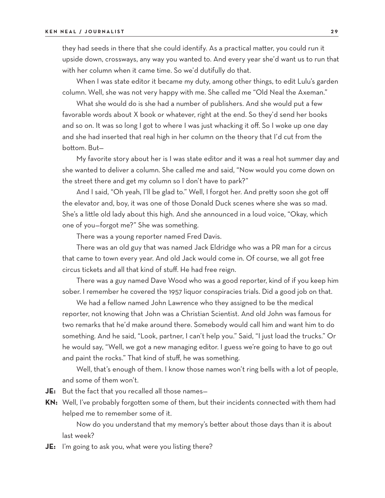they had seeds in there that she could identify. As a practical matter, you could run it upside down, crossways, any way you wanted to. And every year she'd want us to run that with her column when it came time. So we'd dutifully do that.

When I was state editor it became my duty, among other things, to edit Lulu's garden column. Well, she was not very happy with me. She called me "Old Neal the Axeman."

What she would do is she had a number of publishers. And she would put a few favorable words about X book or whatever, right at the end. So they'd send her books and so on. It was so long I got to where I was just whacking it off. So I woke up one day and she had inserted that real high in her column on the theory that I'd cut from the bottom. But—

My favorite story about her is I was state editor and it was a real hot summer day and she wanted to deliver a column. She called me and said, "Now would you come down on the street there and get my column so I don't have to park?"

And I said, "Oh yeah, I'll be glad to." Well, I forgot her. And pretty soon she got off the elevator and, boy, it was one of those Donald Duck scenes where she was so mad. She's a little old lady about this high. And she announced in a loud voice, "Okay, which one of you—forgot me?" She was something.

There was a young reporter named Fred Davis.

There was an old guy that was named Jack Eldridge who was a PR man for a circus that came to town every year. And old Jack would come in. Of course, we all got free circus tickets and all that kind of stuff. He had free reign.

There was a guy named Dave Wood who was a good reporter, kind of if you keep him sober. I remember he covered the 1957 liquor conspiracies trials. Did a good job on that.

We had a fellow named John Lawrence who they assigned to be the medical reporter, not knowing that John was a Christian Scientist. And old John was famous for two remarks that he'd make around there. Somebody would call him and want him to do something. And he said, "Look, partner, I can't help you." Said, "I just load the trucks." Or he would say, "Well, we got a new managing editor. I guess we're going to have to go out and paint the rocks." That kind of stuff, he was something.

Well, that's enough of them. I know those names won't ring bells with a lot of people, and some of them won't.

- **JE:** But the fact that you recalled all those names—
- **KN:** Well, I've probably forgotten some of them, but their incidents connected with them had helped me to remember some of it.

Now do you understand that my memory's better about those days than it is about last week?

**JE:** I'm going to ask you, what were you listing there?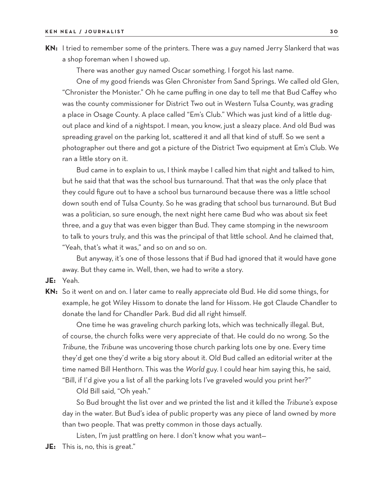**KN:** I tried to remember some of the printers. There was a guy named Jerry Slankerd that was a shop foreman when I showed up.

There was another guy named Oscar something. I forgot his last name.

One of my good friends was Glen Chronister from Sand Springs. We called old Glen, "Chronister the Monister." Oh he came puffing in one day to tell me that Bud Caffey who was the county commissioner for District Two out in Western Tulsa County, was grading a place in Osage County. A place called "Em's Club." Which was just kind of a little dugout place and kind of a nightspot. I mean, you know, just a sleazy place. And old Bud was spreading gravel on the parking lot, scattered it and all that kind of stuff. So we sent a photographer out there and got a picture of the District Two equipment at Em's Club. We ran a little story on it.

Bud came in to explain to us, I think maybe I called him that night and talked to him, but he said that that was the school bus turnaround. That that was the only place that they could figure out to have a school bus turnaround because there was a little school down south end of Tulsa County. So he was grading that school bus turnaround. But Bud was a politician, so sure enough, the next night here came Bud who was about six feet three, and a guy that was even bigger than Bud. They came stomping in the newsroom to talk to yours truly, and this was the principal of that little school. And he claimed that, "Yeah, that's what it was," and so on and so on.

But anyway, it's one of those lessons that if Bud had ignored that it would have gone away. But they came in. Well, then, we had to write a story.

- **JE:** Yeah.
- **KN:** So it went on and on. I later came to really appreciate old Bud. He did some things, for example, he got Wiley Hissom to donate the land for Hissom. He got Claude Chandler to donate the land for Chandler Park. Bud did all right himself.

One time he was graveling church parking lots, which was technically illegal. But, of course, the church folks were very appreciate of that. He could do no wrong. So the *Tribune*, the *Tribune* was uncovering those church parking lots one by one. Every time they'd get one they'd write a big story about it. Old Bud called an editorial writer at the time named Bill Henthorn. This was the *World* guy. I could hear him saying this, he said, "Bill, if I'd give you a list of all the parking lots I've graveled would you print her?"

Old Bill said, "Oh yeah."

So Bud brought the list over and we printed the list and it killed the *Tribune's* expose day in the water. But Bud's idea of public property was any piece of land owned by more than two people. That was pretty common in those days actually.

Listen, I'm just prattling on here. I don't know what you want—

**JE:** This is, no, this is great."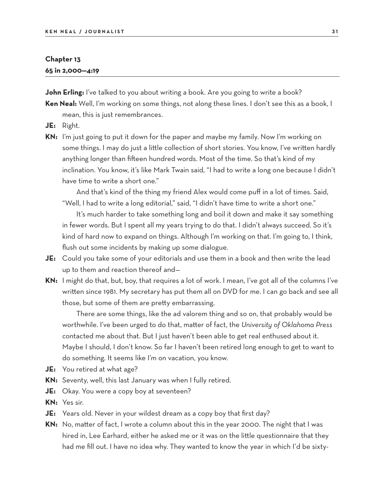#### **Chapter 13**

#### **65 in 2,000—4:19**

**John Erling:** I've talked to you about writing a book. Are you going to write a book?

- **Ken Neal:** Well, I'm working on some things, not along these lines. I don't see this as a book, I mean, this is just remembrances.
- **JE:** Right.
- **KN:** I'm just going to put it down for the paper and maybe my family. Now I'm working on some things. I may do just a little collection of short stories. You know, I've written hardly anything longer than fifteen hundred words. Most of the time. So that's kind of my inclination. You know, it's like Mark Twain said, "I had to write a long one because I didn't have time to write a short one."

And that's kind of the thing my friend Alex would come puff in a lot of times. Said, "Well, I had to write a long editorial," said, "I didn't have time to write a short one."

It's much harder to take something long and boil it down and make it say something in fewer words. But I spent all my years trying to do that. I didn't always succeed. So it's kind of hard now to expand on things. Although I'm working on that. I'm going to, I think, flush out some incidents by making up some dialogue.

- **JE:** Could you take some of your editorials and use them in a book and then write the lead up to them and reaction thereof and—
- **KN:** I might do that, but, boy, that requires a lot of work. I mean, I've got all of the columns I've written since 1981. My secretary has put them all on DVD for me. I can go back and see all those, but some of them are pretty embarrassing.

There are some things, like the ad valorem thing and so on, that probably would be worthwhile. I've been urged to do that, matter of fact, the *University of Oklahoma Press* contacted me about that. But I just haven't been able to get real enthused about it. Maybe I should, I don't know. So far I haven't been retired long enough to get to want to do something. It seems like I'm on vacation, you know.

- **JE:** You retired at what age?
- **KN:** Seventy, well, this last January was when I fully retired.
- **JE:** Okay. You were a copy boy at seventeen?
- **KN:** Yes sir.
- **JE:** Years old. Never in your wildest dream as a copy boy that first day?
- **KN:** No, matter of fact, I wrote a column about this in the year 2000. The night that I was hired in, Lee Earhard, either he asked me or it was on the little questionnaire that they had me fill out. I have no idea why. They wanted to know the year in which I'd be sixty-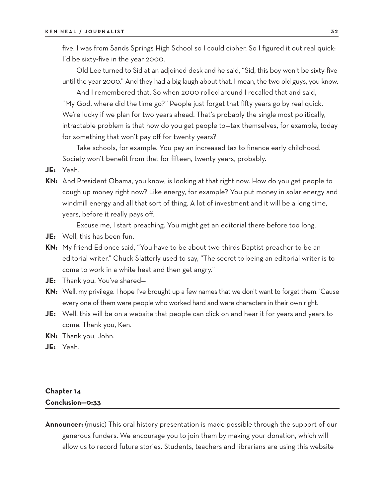five. I was from Sands Springs High School so I could cipher. So I figured it out real quick: I'd be sixty-five in the year 2000.

Old Lee turned to Sid at an adjoined desk and he said, "Sid, this boy won't be sixty-five until the year 2000." And they had a big laugh about that. I mean, the two old guys, you know.

And I remembered that. So when 2000 rolled around I recalled that and said, "My God, where did the time go?" People just forget that fifty years go by real quick. We're lucky if we plan for two years ahead. That's probably the single most politically, intractable problem is that how do you get people to—tax themselves, for example, today for something that won't pay off for twenty years?

Take schools, for example. You pay an increased tax to finance early childhood. Society won't benefit from that for fifteen, twenty years, probably.

- **JE:** Yeah.
- **KN:** And President Obama, you know, is looking at that right now. How do you get people to cough up money right now? Like energy, for example? You put money in solar energy and windmill energy and all that sort of thing. A lot of investment and it will be a long time, years, before it really pays off.

Excuse me, I start preaching. You might get an editorial there before too long.

- **JE:** Well, this has been fun.
- **KN:** My friend Ed once said, "You have to be about two-thirds Baptist preacher to be an editorial writer." Chuck Slatterly used to say, "The secret to being an editorial writer is to come to work in a white heat and then get angry."
- **JE:** Thank you. You've shared—
- **KN:** Well, my privilege. I hope I've brought up a few names that we don't want to forget them. 'Cause every one of them were people who worked hard and were characters in their own right.
- **JE:** Well, this will be on a website that people can click on and hear it for years and years to come. Thank you, Ken.
- **KN:** Thank you, John.
- **JE:** Yeah.

#### **Chapter 14 Conclusion—0:33**

**Announcer:** (music) This oral history presentation is made possible through the support of our generous funders. We encourage you to join them by making your donation, which will allow us to record future stories. Students, teachers and librarians are using this website